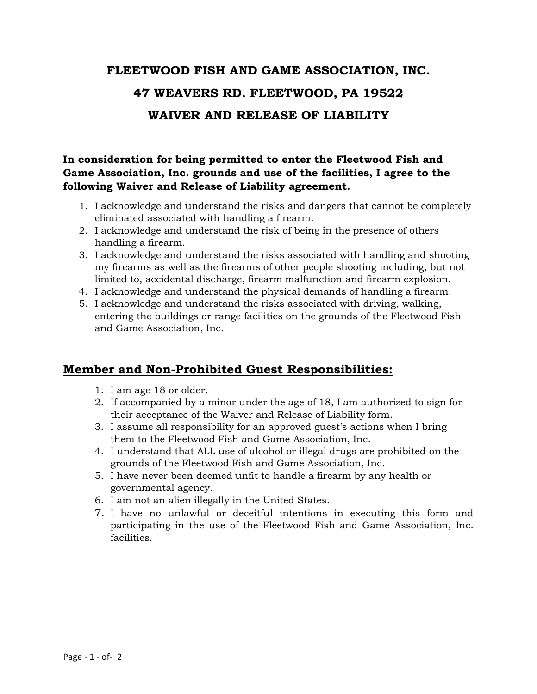## **FLEETWOOD FISH AND GAME ASSOCIATION, INC. 47 WEAVERS RD. FLEETWOOD, PA 19522 WAIVER AND RELEASE OF LIABILITY**

## **In consideration for being permitted to enter the Fleetwood Fish and Game Association, Inc. grounds and use of the facilities, I agree to the following Waiver and Release of Liability agreement.**

- 1. I acknowledge and understand the risks and dangers that cannot be completely eliminated associated with handling a firearm.
- 2. I acknowledge and understand the risk of being in the presence of others handling a firearm.
- 3. I acknowledge and understand the risks associated with handling and shooting my firearms as well as the firearms of other people shooting including, but not limited to, accidental discharge, firearm malfunction and firearm explosion.
- 4. I acknowledge and understand the physical demands of handling a firearm.
- 5. I acknowledge and understand the risks associated with driving, walking, entering the buildings or range facilities on the grounds of the Fleetwood Fish and Game Association, Inc.

## **Member and Non-Prohibited Guest Responsibilities:**

- 1. I am age 18 or older.
- 2. If accompanied by a minor under the age of 18, I am authorized to sign for their acceptance of the Waiver and Release of Liability form.
- 3. I assume all responsibility for an approved guest's actions when I bring them to the Fleetwood Fish and Game Association, Inc.
- 4. I understand that ALL use of alcohol or illegal drugs are prohibited on the grounds of the Fleetwood Fish and Game Association, Inc.
- 5. I have never been deemed unfit to handle a firearm by any health or governmental agency.
- 6. I am not an alien illegally in the United States.
- 7. I have no unlawful or deceitful intentions in executing this form and participating in the use of the Fleetwood Fish and Game Association, Inc. facilities.